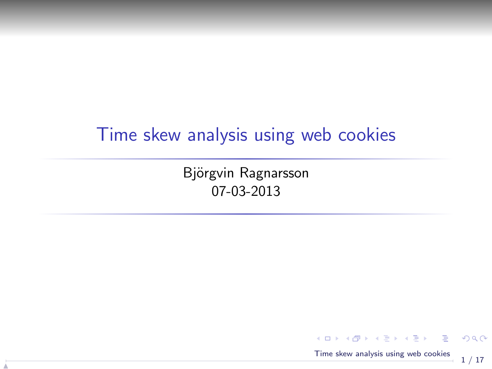#### Time skew analysis using web cookies

Björgvin Ragnarsson 07-03-2013

N



<span id="page-0-0"></span>KO KARA KE KAEK LE YO GO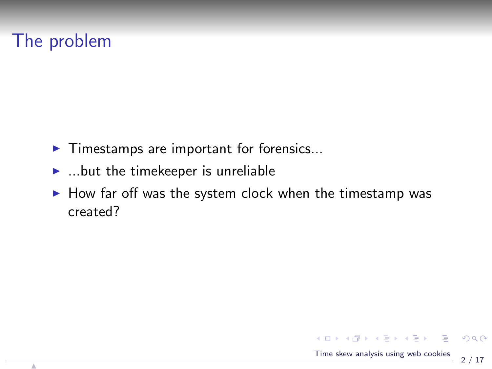# The problem

- $\blacktriangleright$  Timestamps are important for forensics...
- $\blacktriangleright$  ...but the timekeeper is unreliable
- $\blacktriangleright$  How far off was the system clock when the timestamp was created?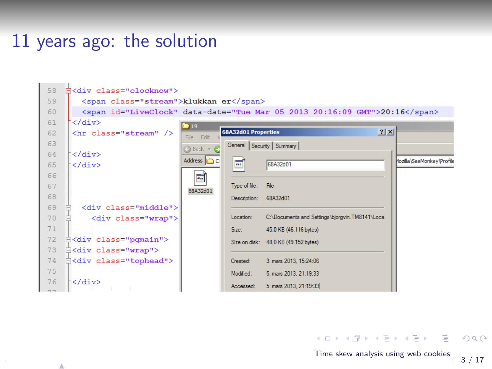# 11 years ago: the solution

N

| 58 | 白 <div class="clocknow"></div>         |                                   |                         |                                                                                           |                           |
|----|----------------------------------------|-----------------------------------|-------------------------|-------------------------------------------------------------------------------------------|---------------------------|
| 59 | <span class="stream">klukkan er</span> |                                   |                         |                                                                                           |                           |
| 60 |                                        |                                   |                         | <span_id="liveclock" data-date="Tue Mar 05 2013 20:16:09 GMT">20:16</span_id="liveclock"> |                           |
| 61 | $\langle$ /div $\rangle$               | $\approx 19$                      |                         |                                                                                           |                           |
| 62 | <hr class="stream"/>                   | File Edit                         | 68A32d01 Properties     |                                                                                           | 2x                        |
| 63 |                                        | $\bigcirc$ Back $\ast$ $\bigcirc$ |                         | General Security Summary                                                                  |                           |
| 64 | $\langle$ /div>                        |                                   |                         |                                                                                           |                           |
| 65 | $\langle$ /div>                        | Address <b>C</b>                  | $\overline{\mathbf{e}}$ | 68A32d01                                                                                  | Mozilla\SeaMonkey\Profile |
| 66 |                                        | $\overline{\mathbf{m}}$           |                         |                                                                                           |                           |
| 67 |                                        | 68A32d01                          | Type of file:           | File                                                                                      |                           |
| 68 |                                        |                                   | Description: 68A32d01   |                                                                                           |                           |
| 69 | <div class="middle"></div>             |                                   |                         |                                                                                           |                           |
| 70 | <div class="wrap"></div>               |                                   | Location:               | C:\Documents and Settings\bjorgvin.TM8141\Loca                                            |                           |
| 71 |                                        |                                   | Size:                   | 45,0 KB (46.116 bytes)                                                                    |                           |
| 72 | 白 <div class="pqmain"></div>           |                                   |                         | Size on disk: 48.0 KB (49.152 bytes)                                                      |                           |
| 73 | 白 <div class="wrap"></div>             |                                   |                         |                                                                                           |                           |
| 74 | 白 <div class="tophead"></div>          |                                   | Created:                | 3. mars 2013. 15:24:06                                                                    |                           |
| 75 |                                        |                                   | Modified:               | 5. mars 2013, 21:19:33                                                                    |                           |
| 76 | $\langle$ /div>                        |                                   | Accessed:               | 5. mars 2013, 21:19:33                                                                    |                           |

メタメメ ミメメ ミメ [Time skew analysis using web cookies](#page-0-0)

 $\leftarrow$   $\Box$ 

活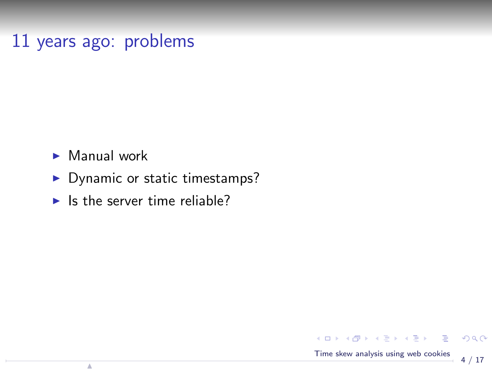### 11 years ago: problems

 $\blacktriangleright$  Manual work

N

- $\blacktriangleright$  Dynamic or static timestamps?
- $\blacktriangleright$  Is the server time reliable?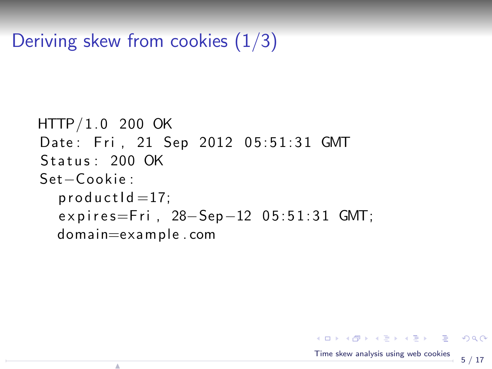Deriving skew from cookies (1/3)

N

```
HTTP/1.0 200 OKDate: Fri, 21 Sep 2012 05:51:31 GMT
Status: 200 OK
Set−C o oki e :
  productId = 17;expires=Fri, 28-Sep-12 05:51:31 GMT;
  domain=example . com
```
K ロ > K 何 > K 君 > K 君 > 「君」 の Q Q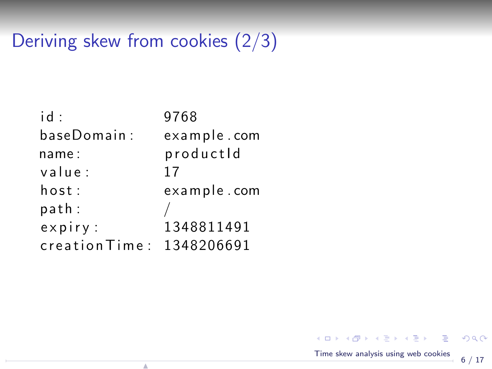# Deriving skew from cookies (2/3)

| id ·                 | 9768        |
|----------------------|-------------|
| baseDomain:          | example.com |
| name:                | productId   |
| value:               | 17          |
| host:                | example.com |
| path:                |             |
| $expiry$ :           | 1348811491  |
| $c$ reation $T$ ime: | 1348206691  |

N

K ロ ▶ K 個 ▶ K 君 ▶ K 君 ▶ ○君 [Time skew analysis using web cookies](#page-0-0)

 $299$  $\stackrel{1}{\rightarrow}$  6 / 17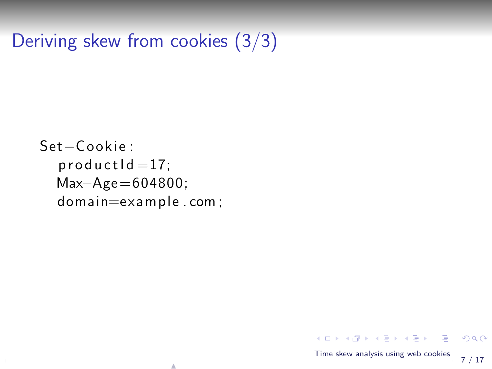Deriving skew from cookies (3/3)

```
Set−C o oki e :
  productId = 17;Max−Age =604800;
  domain=example . com ;
```
N

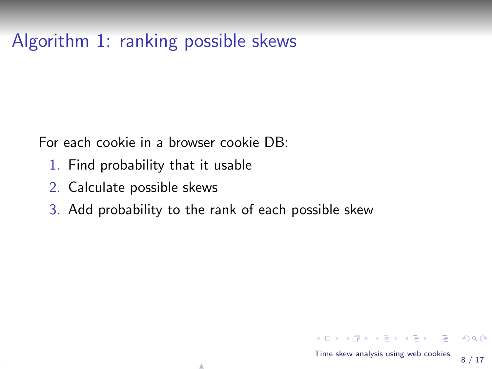# Algorithm 1: ranking possible skews

For each cookie in a browser cookie DB:

- 1. Find probability that it usable
- 2. Calculate possible skews
- 3. Add probability to the rank of each possible skew

4.000

メ御 メメ きょくきょう 君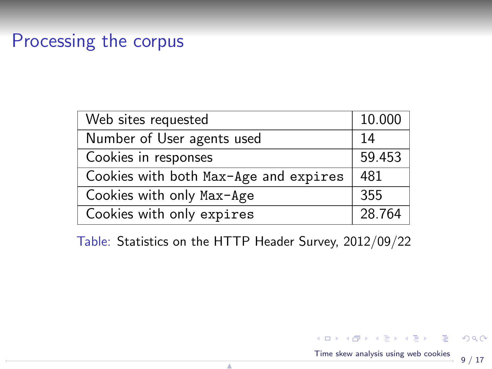### Processing the corpus

| Web sites requested                   | 10.000 |
|---------------------------------------|--------|
| Number of User agents used            | 14     |
| Cookies in responses                  | 59.453 |
| Cookies with both Max-Age and expires | 481    |
| Cookies with only Max-Age             | 355    |
| Cookies with only expires             | 28.764 |

Table: Statistics on the HTTP Header Survey, 2012/09/22

[Time skew analysis using web cookies](#page-0-0)

メロメ メ部メ メミメ メミメ

9 / 17

 $299$ 

- 로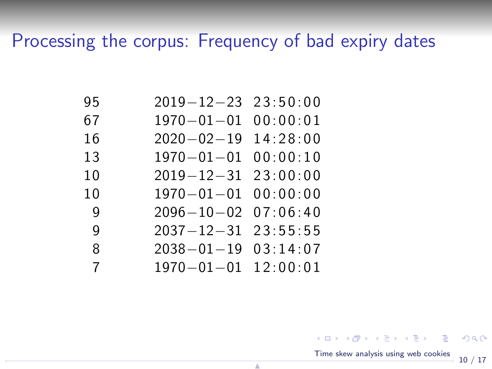# Processing the corpus: Frequency of bad expiry dates

| 95           | $2019 - 12 - 23$ $23:50:00$ |  |
|--------------|-----------------------------|--|
| 67           | $1970 - 01 - 01$ 00:00:01   |  |
| 16           | $2020 - 02 - 19$ 14:28:00   |  |
| 13           | $1970 - 01 - 01$ 00:00:10   |  |
| 10           | $2019 - 12 - 31$ $23:00:00$ |  |
| 10           | $1970 - 01 - 01$ 00:00:00   |  |
| <sub>9</sub> | $2096 - 10 - 02$ 07:06:40   |  |
| <sub>9</sub> | $2037 - 12 - 31$ $23:55:55$ |  |
| 8            | $2038 - 01 - 19$ 03:14:07   |  |
| 7            | $1970 - 01 - 01$ $12:00:01$ |  |

N

イロト イ団 ト イヨト イヨト 一店 [Time skew analysis using web cookies](#page-0-0)

<span id="page-9-0"></span> $299$  $-10/17$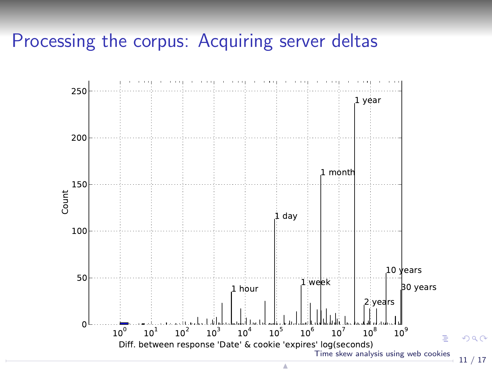#### Processing the corpus: Acquiring server deltas



<span id="page-10-0"></span>11 / 17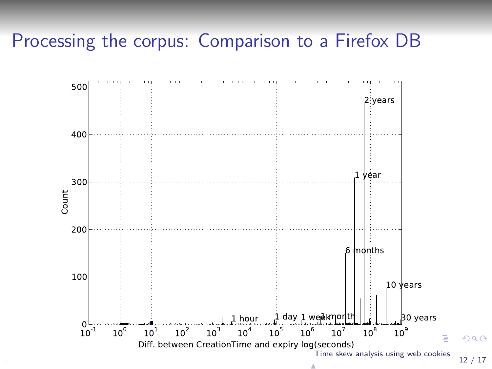#### Processing the corpus: Comparison to a Firefox DB

<span id="page-11-0"></span>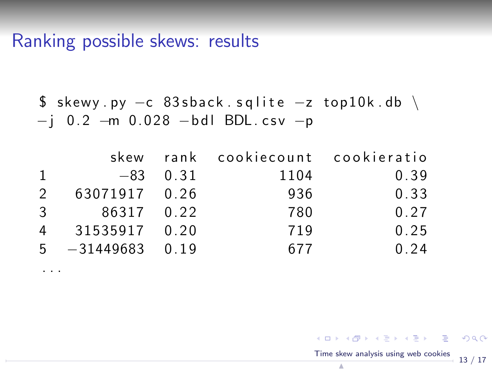### Ranking possible skews: results

. . .

$$
$skewy.py -c 83shack.splite -z top10k.db \ \{-j 0.2 -m 0.028 -bdl BDL.csv -p
$$

|               |                     |            | skew rank cookiecount cookieratio |      |
|---------------|---------------------|------------|-----------------------------------|------|
| $\mathbf{1}$  |                     | $-83$ 0.31 | 1104                              | 0.39 |
| $\mathcal{P}$ | 63071917 0.26       |            | 936                               | 0.33 |
|               | 3 86317 0.22        |            | 780                               | 0.27 |
|               | 4 31535917 0.20     |            | 719                               | 0.25 |
|               | $5 - 31449683$ 0.19 |            | 677                               | 0.24 |

<span id="page-12-0"></span>K ロ ▶ K @ ▶ K 할 ▶ K 할 ▶ ① 할 → ① 의 ① [Time skew analysis using web cookies](#page-0-0)  $13 / 17$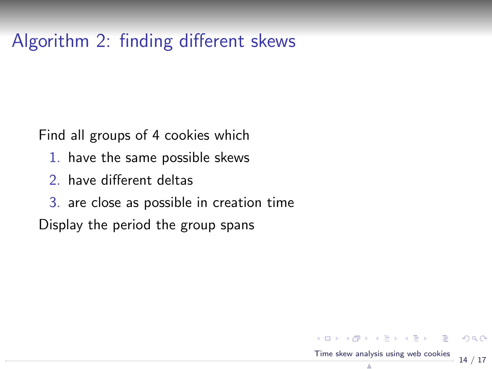# Algorithm 2: finding different skews

Find all groups of 4 cookies which

- 1. have the same possible skews
- 2. have different deltas
- 3. are close as possible in creation time

14 / 17

[Time skew analysis using web cookies](#page-0-0) N

K ロ ▶ K 個 ▶ K 君 ▶ K 君 ▶ ○ 君 │ ◆ 9 Q ⊙

Display the period the group spans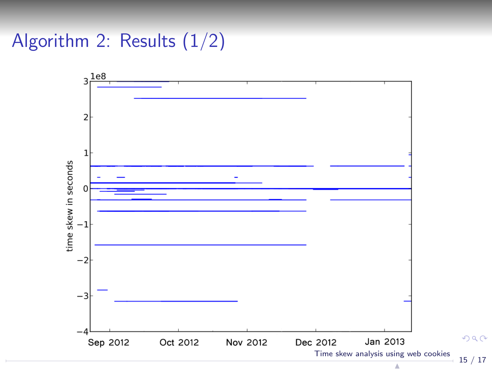Algorithm 2: Results (1/2)



 $2990$ 15 / 17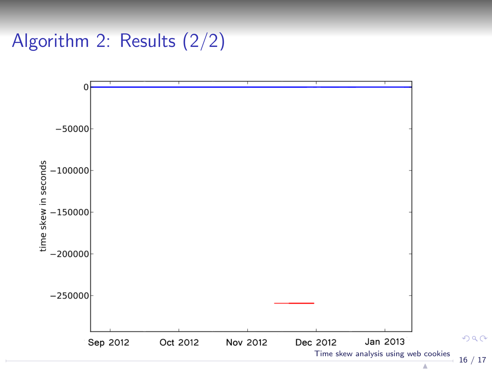Algorithm 2: Results (2/2)